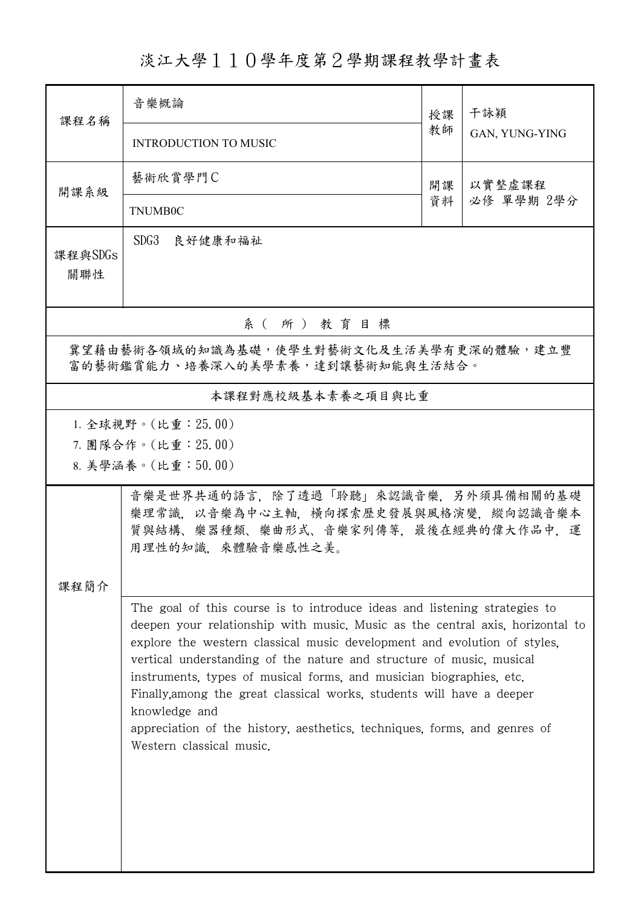## 淡江大學110學年度第2學期課程教學計畫表

| 課程名稱                                                                        | 音樂概論                                                                                                                                                                                                                                                                                                                                                                                                                                                                                                                                                                                     | 授課 | 干詠穎            |  |  |
|-----------------------------------------------------------------------------|------------------------------------------------------------------------------------------------------------------------------------------------------------------------------------------------------------------------------------------------------------------------------------------------------------------------------------------------------------------------------------------------------------------------------------------------------------------------------------------------------------------------------------------------------------------------------------------|----|----------------|--|--|
|                                                                             | <b>INTRODUCTION TO MUSIC</b>                                                                                                                                                                                                                                                                                                                                                                                                                                                                                                                                                             | 教師 | GAN, YUNG-YING |  |  |
| 開課系級                                                                        | 藝術欣賞學門C                                                                                                                                                                                                                                                                                                                                                                                                                                                                                                                                                                                  | 開課 | 以實整虛課程         |  |  |
|                                                                             | <b>TNUMB0C</b>                                                                                                                                                                                                                                                                                                                                                                                                                                                                                                                                                                           | 資料 | 必修 單學期 2學分     |  |  |
| 課程與SDGs<br>關聯性                                                              | SDG3<br>良好健康和福祉                                                                                                                                                                                                                                                                                                                                                                                                                                                                                                                                                                          |    |                |  |  |
| 系(所)教育目標                                                                    |                                                                                                                                                                                                                                                                                                                                                                                                                                                                                                                                                                                          |    |                |  |  |
| 冀望藉由藝術各領域的知識為基礎,使學生對藝術文化及生活美學有更深的體驗,建立豐<br>富的藝術鑑賞能力、培養深入的美學素養,達到讓藝術知能與生活結合。 |                                                                                                                                                                                                                                                                                                                                                                                                                                                                                                                                                                                          |    |                |  |  |
| 本課程對應校級基本素養之項目與比重                                                           |                                                                                                                                                                                                                                                                                                                                                                                                                                                                                                                                                                                          |    |                |  |  |
| 1. 全球視野。(比重: 25.00)<br>7. 團隊合作。(比重:25.00)<br>8. 美學涵養。(比重:50.00)             |                                                                                                                                                                                                                                                                                                                                                                                                                                                                                                                                                                                          |    |                |  |  |
| 課程簡介                                                                        | 音樂是世界共通的語言,除了透過「聆聽」來認識音樂,另外須具備相關的基礎<br>樂理常識,以音樂為中心主軸,橫向探索歷史發展與風格演變,縱向認識音樂本<br>質與結構、樂器種類、樂曲形式、音樂家列傳等,最後在經典的偉大作品中,運<br>用理性的知識,來體驗音樂感性之美。                                                                                                                                                                                                                                                                                                                                                                                                                                                   |    |                |  |  |
|                                                                             | The goal of this course is to introduce ideas and listening strategies to<br>deepen your relationship with music. Music as the central axis, horizontal to<br>explore the western classical music development and evolution of styles,<br>vertical understanding of the nature and structure of music, musical<br>instruments, types of musical forms, and musician biographies, etc.<br>Finally, among the great classical works, students will have a deeper<br>knowledge and<br>appreciation of the history, aesthetics, techniques, forms, and genres of<br>Western classical music. |    |                |  |  |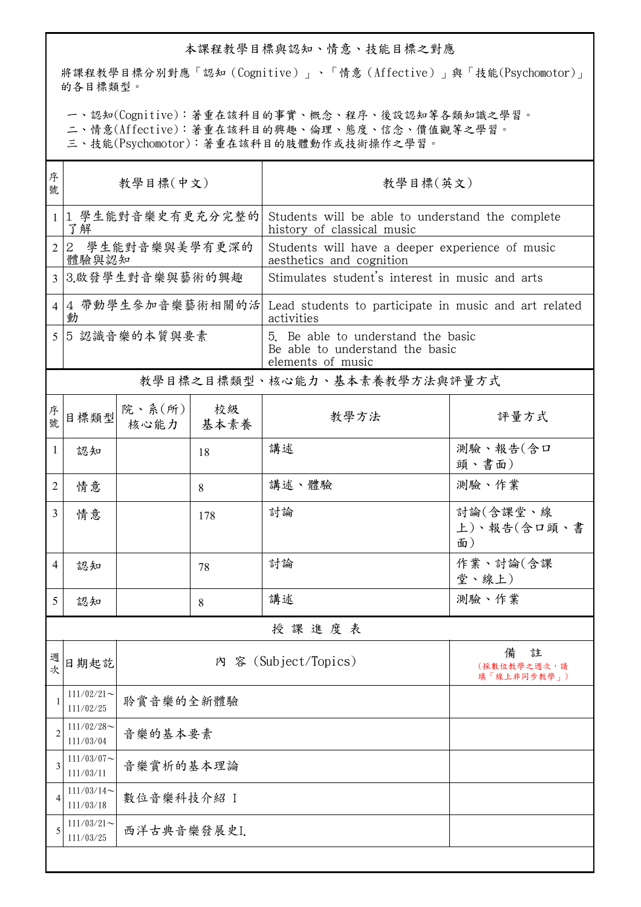## 本課程教學目標與認知、情意、技能目標之對應

將課程教學目標分別對應「認知(Cognitive)」、「情意(Affective)」與「技能(Psychomotor)」 的各目標類型。

一、認知(Cognitive):著重在該科目的事實、概念、程序、後設認知等各類知識之學習。

二、情意(Affective):著重在該科目的興趣、倫理、態度、信念、價值觀等之學習。

三、技能(Psychomotor):著重在該科目的肢體動作或技術操作之學習。

| 序<br>號         | 教學目標(中文)                   |                                 |     | 教學目標(英文)                                                                                   |                                      |  |
|----------------|----------------------------|---------------------------------|-----|--------------------------------------------------------------------------------------------|--------------------------------------|--|
|                |                            |                                 |     |                                                                                            |                                      |  |
| $\mathbf{1}$   | 1 學生能對音樂史有更充分完整的<br>了解     |                                 |     | Students will be able to understand the complete<br>history of classical music             |                                      |  |
| $\overline{2}$ | 2 學生能對音樂與美學有更深的<br>體驗與認知   |                                 |     | Students will have a deeper experience of music<br>aesthetics and cognition                |                                      |  |
| $\overline{3}$ | 3.啟發學生對音樂與藝術的興趣            |                                 |     | Stimulates student's interest in music and arts                                            |                                      |  |
| 4              | 4 帶動學生參加音樂藝術相關的活<br>動      |                                 |     | Lead students to participate in music and art related<br>activities                        |                                      |  |
| 5              | 5認識音樂的本質與要素                |                                 |     | 5. Be able to understand the basic<br>Be able to understand the basic<br>elements of music |                                      |  |
|                |                            |                                 |     | 教學目標之目標類型、核心能力、基本素養教學方法與評量方式                                                               |                                      |  |
| 序號             | 目標類型                       | 院、系 $(\kappa)$  <br>核心能力   基本素養 | 校級  | 教學方法                                                                                       | 評量方式                                 |  |
| 1              | 認知                         |                                 | 18  | 講述                                                                                         | 測驗、報告(含口<br>頭、書面)                    |  |
| 2              | 情意                         |                                 | 8   | 講述、體驗                                                                                      | 測驗、作業                                |  |
| 3              | 情意                         |                                 | 178 | 討論                                                                                         | 討論(含課堂、線<br>上)、報告(含口頭、書<br>面)        |  |
| 4              | 認知                         |                                 | 78  | 討論                                                                                         | 作業、討論(含課<br>堂、線上)                    |  |
| 5              | 認知                         |                                 | 8   | 講述                                                                                         | 測驗、作業                                |  |
|                | 授課進度表                      |                                 |     |                                                                                            |                                      |  |
| 週次             | 日期起訖                       |                                 |     | 內 容 (Subject/Topics)                                                                       | 註<br>備<br>(採數位教學之週次,請<br>填「線上非同步教學」) |  |
| 1              | $111/02/21$ ~<br>111/02/25 | 聆賞音樂的全新體驗                       |     |                                                                                            |                                      |  |
| 2              | $111/02/28$ ~<br>111/03/04 | 音樂的基本要素                         |     |                                                                                            |                                      |  |
| 3              | $111/03/07$ ~<br>111/03/11 | 音樂賞析的基本理論                       |     |                                                                                            |                                      |  |
| 4              | $111/03/14$ ~<br>111/03/18 | 數位音樂科技介紹 I                      |     |                                                                                            |                                      |  |
| 5              | $111/03/21$ ~<br>111/03/25 | 西洋古典音樂發展史I.                     |     |                                                                                            |                                      |  |
|                |                            |                                 |     |                                                                                            |                                      |  |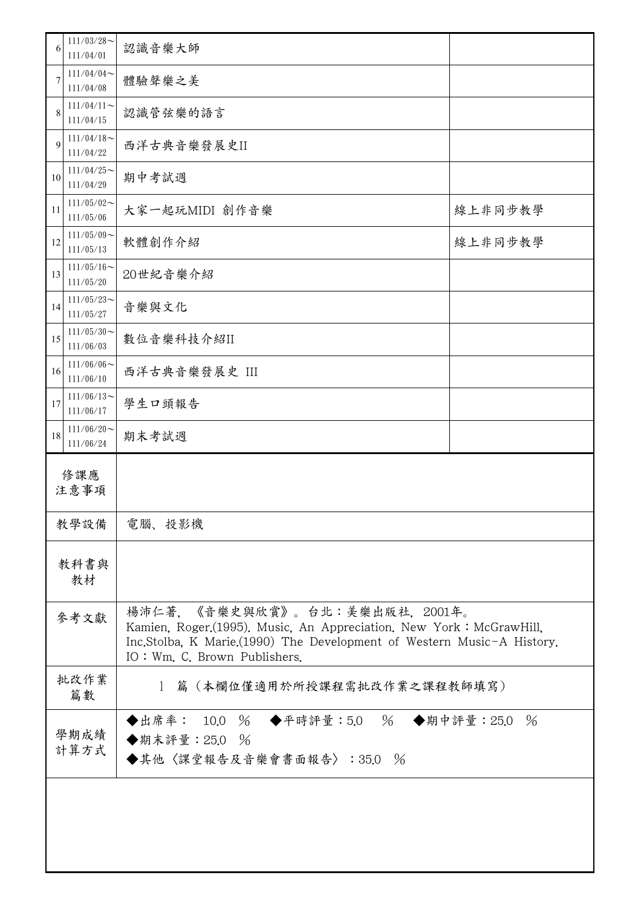| 6            | $111/03/28$ ~<br>111/04/01 | 認識音樂大師                                                                                                                                                                                                         |         |  |
|--------------|----------------------------|----------------------------------------------------------------------------------------------------------------------------------------------------------------------------------------------------------------|---------|--|
|              | $111/04/04$ ~<br>111/04/08 | 體驗聲樂之美                                                                                                                                                                                                         |         |  |
| 8            | $111/04/11$ ~<br>111/04/15 | 認識管弦樂的語言                                                                                                                                                                                                       |         |  |
| 9            | $111/04/18$ ~<br>111/04/22 | 西洋古典音樂發展史II                                                                                                                                                                                                    |         |  |
| 10           | $111/04/25$ ~<br>111/04/29 | 期中考試週                                                                                                                                                                                                          |         |  |
| 11           | $111/05/02$ ~<br>111/05/06 | 大家一起玩MIDI 創作音樂                                                                                                                                                                                                 | 線上非同步教學 |  |
| 12           | $111/05/09$ ~<br>111/05/13 | 軟體創作介紹                                                                                                                                                                                                         | 線上非同步教學 |  |
| 13           | $111/05/16$ ~<br>111/05/20 | 20世紀音樂介紹                                                                                                                                                                                                       |         |  |
| 14           | $111/05/23$ ~<br>111/05/27 | 音樂與文化                                                                                                                                                                                                          |         |  |
| 15           | $111/05/30$ ~<br>111/06/03 | 數位音樂科技介紹II                                                                                                                                                                                                     |         |  |
| 16           | $111/06/06$ ~<br>111/06/10 | 西洋古典音樂發展史 III                                                                                                                                                                                                  |         |  |
| 17           | $111/06/13$ ~<br>111/06/17 | 學生口頭報告                                                                                                                                                                                                         |         |  |
| 18           | $111/06/20$ ~<br>111/06/24 | 期末考試週                                                                                                                                                                                                          |         |  |
| 修課應<br>注意事項  |                            |                                                                                                                                                                                                                |         |  |
| 教學設備         |                            | 電腦、投影機                                                                                                                                                                                                         |         |  |
| 教科書與<br>教材   |                            |                                                                                                                                                                                                                |         |  |
| 參考文獻         |                            | 楊沛仁著,《音樂史與欣賞》。台北:美樂出版社,2001年。<br>Kamien, Roger.(1995). Music, An Appreciation. New York: McGrawHill,<br>Inc.Stolba, K Marie.(1990) The Development of Western Music-A History.<br>IO: Wm. C. Brown Publishers. |         |  |
| 批改作業<br>篇數   |                            | 篇(本欄位僅適用於所授課程需批改作業之課程教師填寫)<br>$\mathbf{1}$                                                                                                                                                                     |         |  |
| 學期成績<br>計算方式 |                            | ◆出席率: 10.0 % ◆平時評量:5.0 % ◆期中評量:25.0<br>$\frac{0}{6}$<br>◆期末評量: 25.0 %<br>◆其他〈課堂報告及音樂會書面報告〉:35.0 %                                                                                                              |         |  |
|              |                            |                                                                                                                                                                                                                |         |  |